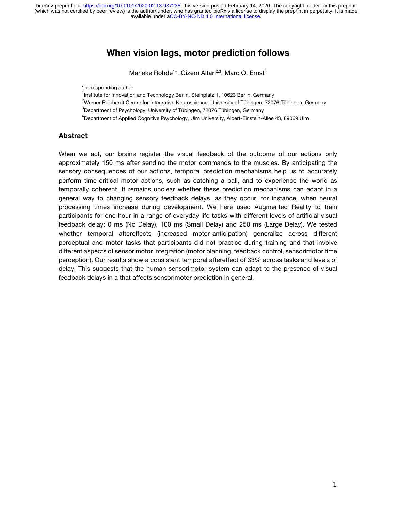available under [aCC-BY-NC-ND 4.0 International license.](http://creativecommons.org/licenses/by-nc-nd/4.0/) (which was not certified by peer review) is the author/funder, who has granted bioRxiv a license to display the preprint in perpetuity. It is made bioRxiv preprint doi: [https://doi.org/10.1101/2020.02.13.937235;](https://doi.org/10.1101/2020.02.13.937235) this version posted February 14, 2020. The copyright holder for this preprint

# **When vision lags, motor prediction follows**

Marieke Rohde<sup>1\*</sup>, Gizem Altan<sup>2,3</sup>, Marc O. Ernst<sup>4</sup>

\*corresponding author

<sup>1</sup>Institute for Innovation and Technology Berlin, Steinplatz 1, 10623 Berlin, Germany

<sup>2</sup>Werner Reichardt Centre for Integrative Neuroscience, University of Tübingen, 72076 Tübingen, Germany

 ${}^{3}$ Department of Psychology, University of Tübingen, 72076 Tübingen, Germany

<sup>4</sup>Department of Applied Cognitive Psychology, Ulm University, Albert-Einstein-Allee 43, 89069 Ulm

#### **Abstract**

When we act, our brains register the visual feedback of the outcome of our actions only approximately 150 ms after sending the motor commands to the muscles. By anticipating the sensory consequences of our actions, temporal prediction mechanisms help us to accurately perform time-critical motor actions, such as catching a ball, and to experience the world as temporally coherent. It remains unclear whether these prediction mechanisms can adapt in a general way to changing sensory feedback delays, as they occur, for instance, when neural processing times increase during development. We here used Augmented Reality to train participants for one hour in a range of everyday life tasks with different levels of artificial visual feedback delay: 0 ms (No Delay), 100 ms (Small Delay) and 250 ms (Large Delay). We tested whether temporal aftereffects (increased motor-anticipation) generalize across different perceptual and motor tasks that participants did not practice during training and that involve different aspects of sensorimotor integration (motor planning, feedback control, sensorimotor time perception). Our results show a consistent temporal aftereffect of 33% across tasks and levels of delay. This suggests that the human sensorimotor system can adapt to the presence of visual feedback delays in a that affects sensorimotor prediction in general.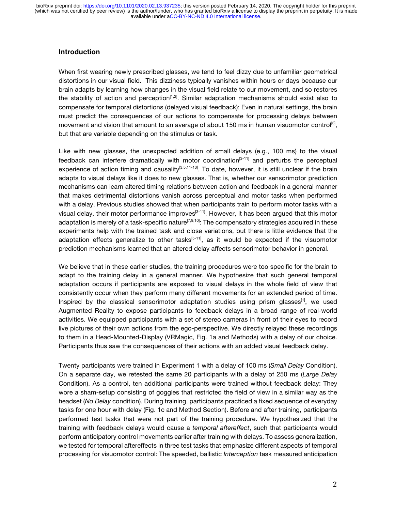## **Introduction**

When first wearing newly prescribed glasses, we tend to feel dizzy due to unfamiliar geometrical distortions in our visual field. This dizziness typically vanishes within hours or days because our brain adapts by learning how changes in the visual field relate to our movement, and so restores the stability of action and perception<sup>[1,2]</sup>. Similar adaptation mechanisms should exist also to compensate for temporal distortions (delayed visual feedback): Even in natural settings, the brain must predict the consequences of our actions to compensate for processing delays between movement and vision that amount to an average of about 150 ms in human visuomotor control<sup>[3]</sup>, but that are variable depending on the stimulus or task.

Like with new glasses, the unexpected addition of small delays (e.g., 100 ms) to the visual feedback can interfere dramatically with motor coordination<sup>[3-11]</sup> and perturbs the perceptual experience of action timing and causality<sup>[3,5,11-13]</sup>. To date, however, it is still unclear if the brain adapts to visual delays like it does to new glasses. That is, whether our sensorimotor prediction mechanisms can learn altered timing relations between action and feedback in a general manner that makes detrimental distortions vanish across perceptual and motor tasks when performed with a delay. Previous studies showed that when participants train to perform motor tasks with a visual delay, their motor performance improves<sup>[3-11]</sup>. However, it has been argued that this motor adaptation is merely of a task-specific nature<sup>[7,9,10]</sup>: The compensatory strategies acquired in these experiments help with the trained task and close variations, but there is little evidence that the adaptation effects generalize to other tasks $[5-11]$ , as it would be expected if the visuomotor prediction mechanisms learned that an altered delay affects sensorimotor behavior in general.

We believe that in these earlier studies, the training procedures were too specific for the brain to adapt to the training delay in a general manner. We hypothesize that such general temporal adaptation occurs if participants are exposed to visual delays in the whole field of view that consistently occur when they perform many different movements for an extended period of time. Inspired by the classical sensorimotor adaptation studies using prism glasses<sup>[1]</sup>, we used Augmented Reality to expose participants to feedback delays in a broad range of real-world activities. We equipped participants with a set of stereo cameras in front of their eyes to record live pictures of their own actions from the ego-perspective. We directly relayed these recordings to them in a Head-Mounted-Display (VRMagic, Fig. 1a and Methods) with a delay of our choice. Participants thus saw the consequences of their actions with an added visual feedback delay.

Twenty participants were trained in Experiment 1 with a delay of 100 ms (*Small Delay* Condition). On a separate day, we retested the same 20 participants with a delay of 250 ms (*Large Delay* Condition). As a control, ten additional participants were trained without feedback delay: They wore a sham-setup consisting of goggles that restricted the field of view in a similar way as the headset (*No Delay* condition). During training, participants practiced a fixed sequence of everyday tasks for one hour with delay (Fig. 1c and Method Section). Before and after training, participants performed test tasks that were not part of the training procedure. We hypothesized that the training with feedback delays would cause a *temporal aftereffect*, such that participants would perform anticipatory control movements earlier after training with delays. To assess generalization, we tested for temporal aftereffects in three test tasks that emphasize different aspects of temporal processing for visuomotor control: The speeded, ballistic *Interception* task measured anticipation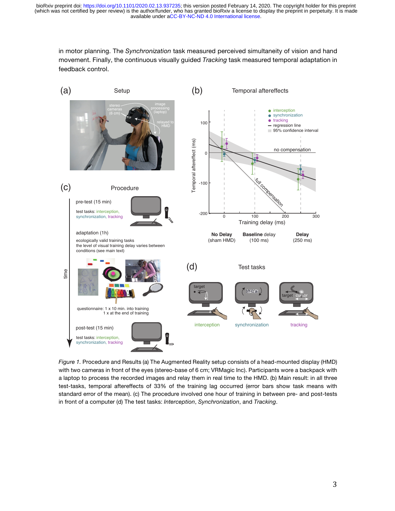available under [aCC-BY-NC-ND 4.0 International license.](http://creativecommons.org/licenses/by-nc-nd/4.0/) (which was not certified by peer review) is the author/funder, who has granted bioRxiv a license to display the preprint in perpetuity. It is made bioRxiv preprint doi: [https://doi.org/10.1101/2020.02.13.937235;](https://doi.org/10.1101/2020.02.13.937235) this version posted February 14, 2020. The copyright holder for this preprint

in motor planning. The *Synchronization* task measured perceived simultaneity of vision and hand movement. Finally, the continuous visually guided *Tracking* task measured temporal adaptation in feedback control.



*Figure 1.* Procedure and Results (a) The Augmented Reality setup consists of a head-mounted display (HMD) with two cameras in front of the eyes (stereo-base of 6 cm; VRMagic Inc). Participants wore a backpack with a laptop to process the recorded images and relay them in real time to the HMD. (b) Main result: in all three test-tasks, temporal aftereffects of 33% of the training lag occurred (error bars show task means with standard error of the mean). (c) The procedure involved one hour of training in between pre- and post-tests in front of a computer (d) The test tasks: *Interception*, *Synchronization*, and *Tracking*.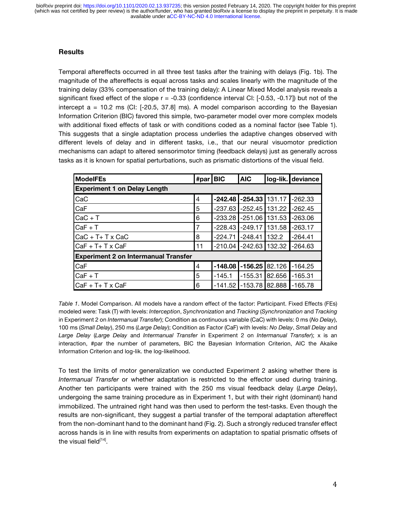available under [aCC-BY-NC-ND 4.0 International license.](http://creativecommons.org/licenses/by-nc-nd/4.0/) (which was not certified by peer review) is the author/funder, who has granted bioRxiv a license to display the preprint in perpetuity. It is made bioRxiv preprint doi: [https://doi.org/10.1101/2020.02.13.937235;](https://doi.org/10.1101/2020.02.13.937235) this version posted February 14, 2020. The copyright holder for this preprint

## **Results**

Temporal aftereffects occurred in all three test tasks after the training with delays (Fig. 1b). The magnitude of the aftereffects is equal across tasks and scales linearly with the magnitude of the training delay (33% compensation of the training delay): A Linear Mixed Model analysis reveals a significant fixed effect of the slope  $r = -0.33$  (confidence interval CI:  $[-0.53, -0.17]$ ) but not of the intercept  $a = 10.2$  ms (CI:  $[-20.5, 37.8]$  ms). A model comparison according to the Bayesian Information Criterion (BIC) favored this simple, two-parameter model over more complex models with additional fixed effects of task or with conditions coded as a nominal factor (see Table 1). This suggests that a single adaptation process underlies the adaptive changes observed with different levels of delay and in different tasks, i.e., that our neural visuomotor prediction mechanisms can adapt to altered sensorimotor timing (feedback delays) just as generally across tasks as it is known for spatial perturbations, such as prismatic distortions of the visual field.

| <b>ModelFEs</b>                             | #par BIC |           | <b>AIC</b>                 |        | log-lik. deviance |
|---------------------------------------------|----------|-----------|----------------------------|--------|-------------------|
| <b>Experiment 1 on Delay Length</b>         |          |           |                            |        |                   |
| CaC                                         | 4        | $-242.48$ | $-254.33$                  | 131.17 | $-262.33$         |
| CaF                                         | 5        | $-237.63$ | $-252.45$                  | 131.22 | $-262.45$         |
| $CaC + T$                                   | 6        | $-233.28$ | $-251.06$                  | 131.53 | $-263.06$         |
| $CaF + T$                                   | 7        | $-228.43$ | $-249.17$                  | 131.58 | $-263.17$         |
| $Cac + T + T \times Cac$                    | 8        | $-224.71$ | $-248.41$                  | 132.2  | $-264.41$         |
| CaF + T+ T x CaF                            | 11       |           | $-210.04$ $-242.63$ 132.32 |        | $-264.63$         |
| <b>Experiment 2 on Intermanual Transfer</b> |          |           |                            |        |                   |
| CaF                                         | 4        | $-148.08$ | $-156.25$                  | 82.126 | $-164.25$         |
| $CaF + T$                                   | 5        | $-145.1$  | $-155.31$                  | 82.656 | $-165.31$         |
| CaF + T+ T x CaF                            | 6        | $-141.52$ | $-153.78$                  | 82.888 | $-165.78$         |

*Table 1*. Model Comparison. All models have a random effect of the factor: Participant. Fixed Effects (FEs) modeled were: Task (T) with levels: *Interception*, *Synchronization* and *Tracking* (*Synchronization* and *Tracking* in Experiment 2 on *Intermanual Transfer*); Condition as continuous variable (CaC) with levels: 0 ms (*No Delay*), 100 ms (*Small Delay*), 250 ms (*Large Delay*); Condition as Factor (CaF) with levels: *No Delay*, *Small Delay* and *Large Delay* (*Large Delay* and *Intermanual Transfer* in Experiment 2 on *Intermanual Transfer*); x is an interaction, #par the number of parameters, BIC the Bayesian Information Criterion, AIC the Akaike Information Criterion and log-lik. the log-likelihood.

To test the limits of motor generalization we conducted Experiment 2 asking whether there is *Intermanual Transfer* or whether adaptation is restricted to the effector used during training. Another ten participants were trained with the 250 ms visual feedback delay (*Large Delay*), undergoing the same training procedure as in Experiment 1, but with their right (dominant) hand immobilized. The untrained right hand was then used to perform the test-tasks. Even though the results are non-significant, they suggest a partial transfer of the temporal adaptation aftereffect from the non-dominant hand to the dominant hand (Fig. 2). Such a strongly reduced transfer effect across hands is in line with results from experiments on adaptation to spatial prismatic offsets of the visual field<sup>[14]</sup>.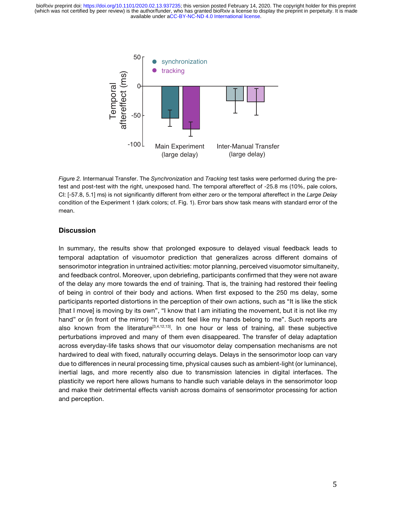available under [aCC-BY-NC-ND 4.0 International license.](http://creativecommons.org/licenses/by-nc-nd/4.0/) (which was not certified by peer review) is the author/funder, who has granted bioRxiv a license to display the preprint in perpetuity. It is made bioRxiv preprint doi: [https://doi.org/10.1101/2020.02.13.937235;](https://doi.org/10.1101/2020.02.13.937235) this version posted February 14, 2020. The copyright holder for this preprint



*Figure 2.* Intermanual Transfer. The *Synchronization* and *Tracking* test tasks were performed during the pretest and post-test with the right, unexposed hand. The temporal aftereffect of -25.8 ms (10%, pale colors, CI: [-57.8, 5.1] ms) is not significantly different from either zero or the temporal aftereffect in the *Large Delay* condition of the Experiment 1 (dark colors; cf. Fig. 1). Error bars show task means with standard error of the mean.

#### **Discussion**

In summary, the results show that prolonged exposure to delayed visual feedback leads to temporal adaptation of visuomotor prediction that generalizes across different domains of sensorimotor integration in untrained activities: motor planning, perceived visuomotor simultaneity, and feedback control. Moreover, upon debriefing, participants confirmed that they were not aware of the delay any more towards the end of training. That is, the training had restored their feeling of being in control of their body and actions. When first exposed to the 250 ms delay, some participants reported distortions in the perception of their own actions, such as "It is like the stick [that I move] is moving by its own", "I know that I am initiating the movement, but it is not like my hand" or (in front of the mirror) "It does not feel like my hands belong to me". Such reports are also known from the literature<sup>[3,4,12,13]</sup>. In one hour or less of training, all these subjective perturbations improved and many of them even disappeared. The transfer of delay adaptation across everyday-life tasks shows that our visuomotor delay compensation mechanisms are not hardwired to deal with fixed, naturally occurring delays. Delays in the sensorimotor loop can vary due to differences in neural processing time, physical causes such as ambient-light (or luminance), inertial lags, and more recently also due to transmission latencies in digital interfaces. The plasticity we report here allows humans to handle such variable delays in the sensorimotor loop and make their detrimental effects vanish across domains of sensorimotor processing for action and perception.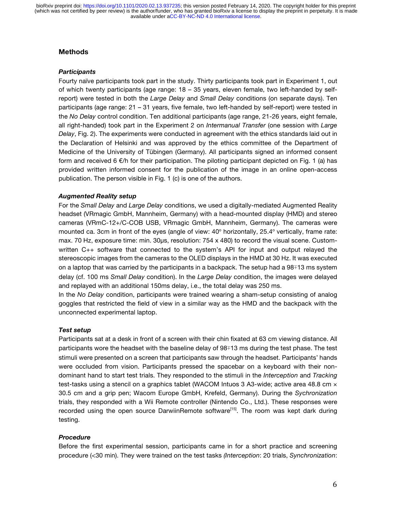## **Methods**

#### *Participants*

Fourty naïve participants took part in the study. Thirty participants took part in Experiment 1, out of which twenty participants (age range: 18 – 35 years, eleven female, two left-handed by selfreport) were tested in both the *Large Delay* and *Small Delay* conditions (on separate days). Ten participants (age range: 21 – 31 years, five female, two left-handed by self-report) were tested in the *No Delay* control condition. Ten additional participants (age range, 21-26 years, eight female, all right-handed) took part in the Experiment 2 on *Intermanual Transfer* (one session with *Large Delay*, Fig. 2). The experiments were conducted in agreement with the ethics standards laid out in the Declaration of Helsinki and was approved by the ethics committee of the Department of Medicine of the University of Tübingen (Germany). All participants signed an informed consent form and received 6  $\notin$ /h for their participation. The piloting participant depicted on Fig. 1 (a) has provided written informed consent for the publication of the image in an online open-access publication. The person visible in Fig. 1 (c) is one of the authors.

## *Augmented Reality setup*

For the *Small Delay* and *Large Delay* conditions, we used a digitally-mediated Augmented Reality headset (VRmagic GmbH, Mannheim, Germany) with a head-mounted display (HMD) and stereo cameras (VRmC-12+/C-COB USB, VRmagic GmbH, Mannheim, Germany). The cameras were mounted ca. 3cm in front of the eyes (angle of view: 40° horizontally, 25.4° vertically, frame rate: max. 70 Hz, exposure time: min. 30μs, resolution: 754 x 480) to record the visual scene. Customwritten C++ software that connected to the system's API for input and output relayed the stereoscopic images from the cameras to the OLED displays in the HMD at 30 Hz. It was executed on a laptop that was carried by the participants in a backpack. The setup had a 98∓13 ms system delay (cf. 100 ms *Small Delay* condition). In the *Large Delay* condition, the images were delayed and replayed with an additional 150ms delay, i.e., the total delay was 250 ms.

In the *No Delay* condition, participants were trained wearing a sham-setup consisting of analog goggles that restricted the field of view in a similar way as the HMD and the backpack with the unconnected experimental laptop.

## *Test setup*

Participants sat at a desk in front of a screen with their chin fixated at 63 cm viewing distance. All participants wore the headset with the baseline delay of 98∓13 ms during the test phase. The test stimuli were presented on a screen that participants saw through the headset. Participants' hands were occluded from vision. Participants pressed the spacebar on a keyboard with their nondominant hand to start test trials. They responded to the stimuli in the *Interception* and *Tracking* test-tasks using a stencil on a graphics tablet (WACOM Intuos 3 A3-wide; active area 48.8 cm  $\times$ 30.5 cm and a grip pen; Wacom Europe GmbH, Krefeld, Germany). During the *Sychronization* trials, they responded with a Wii Remote controller (Nintendo Co., Ltd.). These responses were recorded using the open source DarwiinRemote software<sup>[15]</sup>. The room was kept dark during testing.

## *Procedure*

Before the first experimental session, participants came in for a short practice and screening procedure (<30 min). They were trained on the test tasks *(Interception*: 20 trials, *Synchronization*: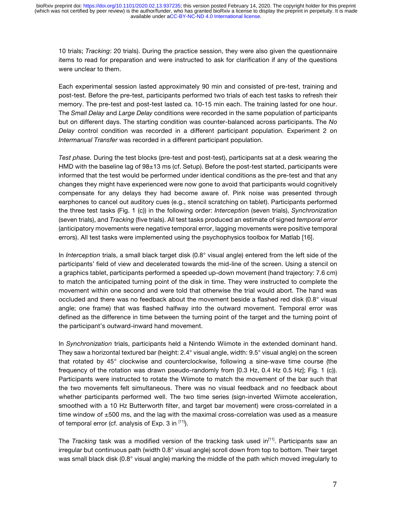10 trials; *Tracking*: 20 trials). During the practice session, they were also given the questionnaire items to read for preparation and were instructed to ask for clarification if any of the questions were unclear to them.

Each experimental session lasted approximately 90 min and consisted of pre-test, training and post-test. Before the pre-test, participants performed two trials of each test tasks to refresh their memory. The pre-test and post-test lasted ca. 10-15 min each. The training lasted for one hour. The *Small Delay* and *Large Delay* conditions were recorded in the same population of participants but on different days. The starting condition was counter-balanced across participants. The *No Delay* control condition was recorded in a different participant population. Experiment 2 on *Intermanual Transfer* was recorded in a different participant population.

*Test phase.* During the test blocks (pre-test and post-test), participants sat at a desk wearing the HMD with the baseline lag of 98±13 ms (cf. Setup). Before the post-test started, participants were informed that the test would be performed under identical conditions as the pre-test and that any changes they might have experienced were now gone to avoid that participants would cognitively compensate for any delays they had become aware of. Pink noise was presented through earphones to cancel out auditory cues (e.g., stencil scratching on tablet). Participants performed the three test tasks (Fig. 1 (c)) in the following order: *Interceptio*n (seven trials), *Synchronization* (seven trials), and *Tracking* (five trials). All test tasks produced an estimate of signed *temporal error* (anticipatory movements were negative temporal error, lagging movements were positive temporal errors). All test tasks were implemented using the psychophysics toolbox for Matlab [16].

In *Interception* trials, a small black target disk (0.8° visual angle) entered from the left side of the participants' field of view and decelerated towards the mid-line of the screen. Using a stencil on a graphics tablet, participants performed a speeded up-down movement (hand trajectory: 7.6 cm) to match the anticipated turning point of the disk in time. They were instructed to complete the movement within one second and were told that otherwise the trial would abort. The hand was occluded and there was no feedback about the movement beside a flashed red disk (0.8° visual angle; one frame) that was flashed halfway into the outward movement. Temporal error was defined as the difference in time between the turning point of the target and the turning point of the participant's outward-inward hand movement.

In *Synchronization* trials, participants held a Nintendo Wiimote in the extended dominant hand. They saw a horizontal textured bar (height: 2.4° visual angle, width: 9.5° visual angle) on the screen that rotated by 45° clockwise and counterclockwise, following a sine-wave time course (the frequency of the rotation was drawn pseudo-randomly from [0.3 Hz, 0.4 Hz 0.5 Hz]; Fig. 1 (c)). Participants were instructed to rotate the Wiimote to match the movement of the bar such that the two movements felt simultaneous. There was no visual feedback and no feedback about whether participants performed well. The two time series (sign-inverted Wiimote acceleration, smoothed with a 10 Hz Butterworth filter, and target bar movement) were cross-correlated in a time window of  $\pm 500$  ms, and the lag with the maximal cross-correlation was used as a measure of temporal error (cf. analysis of Exp. 3 in [11]).

The *Tracking* task was a modified version of the tracking task used in<sup>[11]</sup>. Participants saw an irregular but continuous path (width 0.8° visual angle) scroll down from top to bottom. Their target was small black disk (0.8° visual angle) marking the middle of the path which moved irregularly to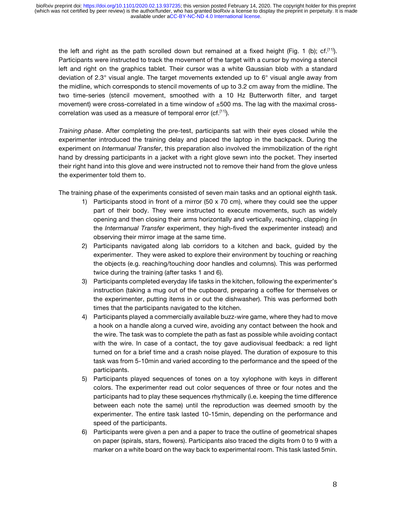the left and right as the path scrolled down but remained at a fixed height (Fig. 1 (b); cf.<sup>[11]</sup>). Participants were instructed to track the movement of the target with a cursor by moving a stencil left and right on the graphics tablet. Their cursor was a white Gaussian blob with a standard deviation of 2.3° visual angle. The target movements extended up to 6° visual angle away from the midline, which corresponds to stencil movements of up to 3.2 cm away from the midline. The two time-series (stencil movement, smoothed with a 10 Hz Butterworth filter, and target movement) were cross-correlated in a time window of  $\pm 500$  ms. The lag with the maximal crosscorrelation was used as a measure of temporal error  $(cf. [11])$ .

*Training phase*. After completing the pre-test, participants sat with their eyes closed while the experimenter introduced the training delay and placed the laptop in the backpack. During the experiment on *Intermanual Transfer*, this preparation also involved the immobilization of the right hand by dressing participants in a jacket with a right glove sewn into the pocket. They inserted their right hand into this glove and were instructed not to remove their hand from the glove unless the experimenter told them to.

The training phase of the experiments consisted of seven main tasks and an optional eighth task.

- 1) Participants stood in front of a mirror  $(50 \times 70 \text{ cm})$ , where they could see the upper part of their body. They were instructed to execute movements, such as widely opening and then closing their arms horizontally and vertically, reaching, clapping (in the *Intermanual Transfer* experiment, they high-fived the experimenter instead) and observing their mirror image at the same time.
- 2) Participants navigated along lab corridors to a kitchen and back, guided by the experimenter. They were asked to explore their environment by touching or reaching the objects (e.g. reaching/touching door handles and columns). This was performed twice during the training (after tasks 1 and 6).
- 3) Participants completed everyday life tasks in the kitchen, following the experimenter's instruction (taking a mug out of the cupboard, preparing a coffee for themselves or the experimenter, putting items in or out the dishwasher). This was performed both times that the participants navigated to the kitchen.
- 4) Participants played a commercially available buzz-wire game, where they had to move a hook on a handle along a curved wire, avoiding any contact between the hook and the wire. The task was to complete the path as fast as possible while avoiding contact with the wire. In case of a contact, the toy gave audiovisual feedback: a red light turned on for a brief time and a crash noise played. The duration of exposure to this task was from 5-10min and varied according to the performance and the speed of the participants.
- 5) Participants played sequences of tones on a toy xylophone with keys in different colors. The experimenter read out color sequences of three or four notes and the participants had to play these sequences rhythmically (i.e. keeping the time difference between each note the same) until the reproduction was deemed smooth by the experimenter. The entire task lasted 10-15min, depending on the performance and speed of the participants.
- 6) Participants were given a pen and a paper to trace the outline of geometrical shapes on paper (spirals, stars, flowers). Participants also traced the digits from 0 to 9 with a marker on a white board on the way back to experimental room. This task lasted 5min.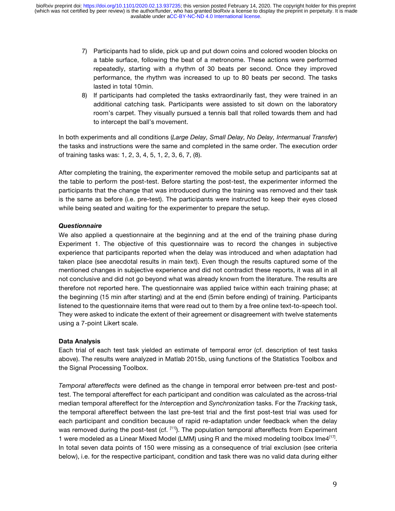- 7) Participants had to slide, pick up and put down coins and colored wooden blocks on a table surface, following the beat of a metronome. These actions were performed repeatedly, starting with a rhythm of 30 beats per second. Once they improved performance, the rhythm was increased to up to 80 beats per second. The tasks lasted in total 10min.
- 8) If participants had completed the tasks extraordinarily fast, they were trained in an additional catching task. Participants were assisted to sit down on the laboratory room's carpet. They visually pursued a tennis ball that rolled towards them and had to intercept the ball's movement.

In both experiments and all conditions (*Large Delay, Small Delay, No Delay, Intermanual Transfer*) the tasks and instructions were the same and completed in the same order. The execution order of training tasks was: 1, 2, 3, 4, 5, 1, 2, 3, 6, 7, (8).

After completing the training, the experimenter removed the mobile setup and participants sat at the table to perform the post-test. Before starting the post-test, the experimenter informed the participants that the change that was introduced during the training was removed and their task is the same as before (i.e. pre-test). The participants were instructed to keep their eyes closed while being seated and waiting for the experimenter to prepare the setup.

## *Questionnaire*

We also applied a questionnaire at the beginning and at the end of the training phase during Experiment 1. The objective of this questionnaire was to record the changes in subjective experience that participants reported when the delay was introduced and when adaptation had taken place (see anecdotal results in main text). Even though the results captured some of the mentioned changes in subjective experience and did not contradict these reports, it was all in all not conclusive and did not go beyond what was already known from the literature. The results are therefore not reported here. The questionnaire was applied twice within each training phase; at the beginning (15 min after starting) and at the end (5min before ending) of training. Participants listened to the questionnaire items that were read out to them by a free online text-to-speech tool. They were asked to indicate the extent of their agreement or disagreement with twelve statements using a 7-point Likert scale.

## **Data Analysis**

Each trial of each test task yielded an estimate of temporal error (cf. description of test tasks above). The results were analyzed in Matlab 2015b, using functions of the Statistics Toolbox and the Signal Processing Toolbox.

*Temporal aftereffects* were defined as the change in temporal error between pre-test and posttest. The temporal aftereffect for each participant and condition was calculated as the across-trial median temporal aftereffect for the *Interception* and *Synchronization* tasks. For the *Tracking* task, the temporal aftereffect between the last pre-test trial and the first post-test trial was used for each participant and condition because of rapid re-adaptation under feedback when the delay was removed during the post-test (cf. <sup>[11]</sup>). The population temporal aftereffects from Experiment 1 were modeled as a Linear Mixed Model (LMM) using R and the mixed modeling toolbox lme4 $[17]$ . In total seven data points of 150 were missing as a consequence of trial exclusion (see criteria below), i.e. for the respective participant, condition and task there was no valid data during either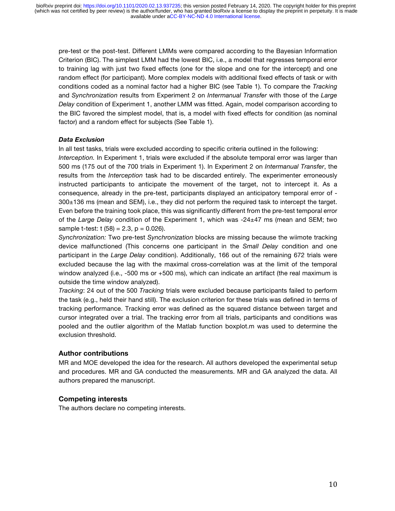pre-test or the post-test. Different LMMs were compared according to the Bayesian Information Criterion (BIC). The simplest LMM had the lowest BIC, i.e., a model that regresses temporal error to training lag with just two fixed effects (one for the slope and one for the intercept) and one random effect (for participant). More complex models with additional fixed effects of task or with conditions coded as a nominal factor had a higher BIC (see Table 1). To compare the *Tracking* and *Synchronization* results from Experiment 2 on *Intermanual Transfer* with those of the *Large Delay* condition of Experiment 1, another LMM was fitted. Again, model comparison according to the BIC favored the simplest model, that is, a model with fixed effects for condition (as nominal factor) and a random effect for subjects (See Table 1).

#### *Data Exclusion*

In all test tasks, trials were excluded according to specific criteria outlined in the following:

*Interception.* In Experiment 1, trials were excluded if the absolute temporal error was larger than 500 ms (175 out of the 700 trials in Experiment 1). In Experiment 2 on *Intermanual Transfer*, the results from the *Interception* task had to be discarded entirely. The experimenter erroneously instructed participants to anticipate the movement of the target, not to intercept it. As a consequence, already in the pre-test, participants displayed an anticipatory temporal error of - 300±136 ms (mean and SEM), i.e., they did not perform the required task to intercept the target. Even before the training took place, this was significantly different from the pre-test temporal error of the *Large Delay* condition of the Experiment 1, which was -24±47 ms (mean and SEM; two sample t-test:  $t$  (58) = 2.3,  $p = 0.026$ ).

*Synchronization:* Two pre-test *Synchronization* blocks are missing because the wiimote tracking device malfunctioned (This concerns one participant in the *Small Delay* condition and one participant in the *Large Delay* condition). Additionally, 166 out of the remaining 672 trials were excluded because the lag with the maximal cross-correlation was at the limit of the temporal window analyzed (i.e., -500 ms or +500 ms), which can indicate an artifact (the real maximum is outside the time window analyzed).

*Tracking*: 24 out of the 500 *Tracking* trials were excluded because participants failed to perform the task (e.g., held their hand still). The exclusion criterion for these trials was defined in terms of tracking performance. Tracking error was defined as the squared distance between target and cursor integrated over a trial. The tracking error from all trials, participants and conditions was pooled and the outlier algorithm of the Matlab function boxplot.m was used to determine the exclusion threshold.

## **Author contributions**

MR and MOE developed the idea for the research. All authors developed the experimental setup and procedures. MR and GA conducted the measurements. MR and GA analyzed the data. All authors prepared the manuscript.

## **Competing interests**

The authors declare no competing interests.